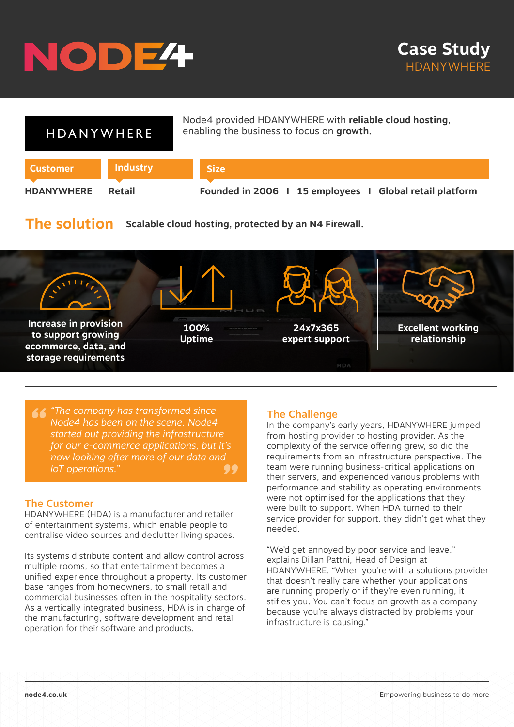

| HDANYWHERE        |                 | Node4 provided HDANYWHERE with reliable cloud hosting,<br>enabling the business to focus on growth. |
|-------------------|-----------------|-----------------------------------------------------------------------------------------------------|
| <b>Customer</b>   | <b>Industry</b> | <b>Size</b>                                                                                         |
| <b>HDANYWHERE</b> | Retail          | Founded in 2006   15 employees   Global retail platform                                             |

# **The solution Scalable cloud hosting, protected by an N4 Firewall.**



*" "The company has transformed since*  ,<br>now looking after more of our data and<br>IoT operations." *Node4 has been on the scene. Node4 started out providing the infrastructure for our e-commerce applications, but it's IoT operations."*

### The Customer

HDANYWHERE (HDA) is a manufacturer and retailer of entertainment systems, which enable people to centralise video sources and declutter living spaces.

Its systems distribute content and allow control across multiple rooms, so that entertainment becomes a unified experience throughout a property. Its customer base ranges from homeowners, to small retail and commercial businesses often in the hospitality sectors. As a vertically integrated business, HDA is in charge of the manufacturing, software development and retail operation for their software and products.

## The Challenge

In the company's early years, HDANYWHERE jumped from hosting provider to hosting provider. As the complexity of the service offering grew, so did the requirements from an infrastructure perspective. The team were running business-critical applications on their servers, and experienced various problems with performance and stability as operating environments were not optimised for the applications that they were built to support. When HDA turned to their service provider for support, they didn't get what they needed.

"We'd get annoyed by poor service and leave," explains Dillan Pattni, Head of Design at HDANYWHERE. "When you're with a solutions provider that doesn't really care whether your applications are running properly or if they're even running, it stifles you. You can't focus on growth as a company because you're always distracted by problems your infrastructure is causing."